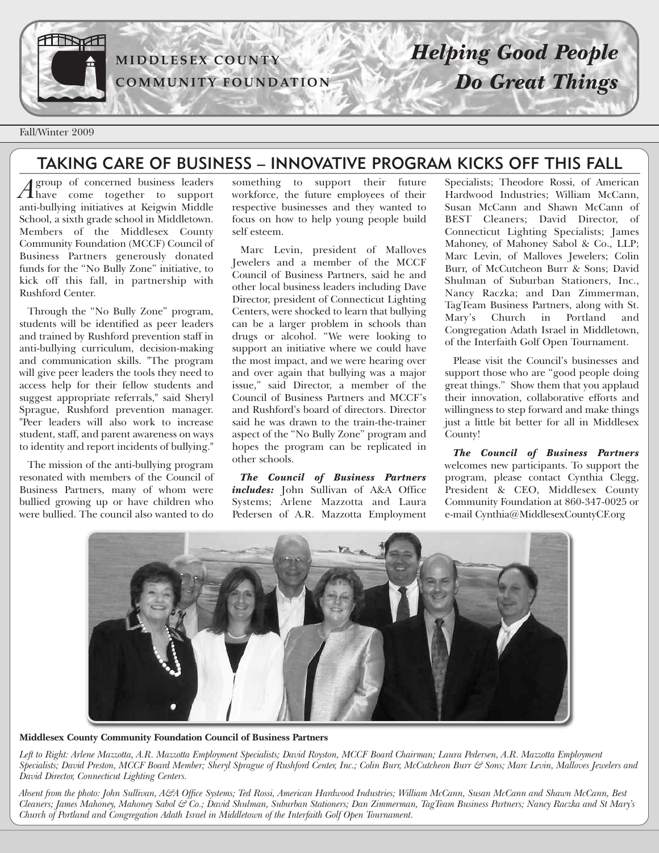

**MI D D LESEX C O U N TY C OMMU N ITY F O U N D ATI O N**

# *Helping Good People Do Great Things*

Fall/Winter 2009

### TAKING CARE OF BUSINESS – INNOVATIVE PROGRAM KICKS OFF THIS FALL

*A* group of concerned business leaders<br>have come together to support anti-bullying initiatives at Keigwin Middle School, a sixth grade school in Middletown. Members of the Middlesex County Community Foundation (MCCF) Council of Business Partners generously donated funds for the "No Bully Zone" initiative, to kick off this fall, in partnership with Rushford Center.

Through the "No Bully Zone" program, students will be identified as peer leaders and trained by Rushford prevention staff in anti-bullying curriculum, decision-making and communication skills. "The program will give peer leaders the tools they need to access help for their fellow students and suggest appropriate referrals," said Sheryl Sprague, Rushford prevention manager. "Peer leaders will also work to increase student, staff, and parent awareness on ways to identity and report incidents of bullying."

The mission of the anti-bullying program resonated with members of the Council of Business Partners, many of whom were bullied growing up or have children who were bullied. The council also wanted to do

something to support their future workforce, the future employees of their respective businesses and they wanted to focus on how to help young people build self esteem.

Marc Levin, president of Malloves Jewelers and a member of the MCCF Council of Business Partners, said he and other local business leaders including Dave Director, president of Connecticut Lighting Centers, were shocked to learn that bullying can be a larger problem in schools than drugs or alcohol. "We were looking to support an initiative where we could have the most impact, and we were hearing over and over again that bullying was a major issue," said Director, a member of the Council of Business Partners and MCCF's and Rushford's board of directors. Director said he was drawn to the train-the-trainer aspect of the "No Bully Zone" program and hopes the program can be replicated in other schools.

*The Council of Business Partners includes:* John Sullivan of A&A Office Systems; Arlene Mazzotta and Laura Pedersen of A.R. Mazzotta Employment Specialists; Theodore Rossi, of American Hardwood Industries; William McCann, Susan McCann and Shawn McCann of BEST Cleaners; David Director, of Connecticut Lighting Specialists; James Mahoney, of Mahoney Sabol & Co., LLP; Marc Levin, of Malloves Jewelers; Colin Burr, of McCutcheon Burr & Sons; David Shulman of Suburban Stationers, Inc., Nancy Raczka; and Dan Zimmerman, TagTeam Business Partners, along with St. Mary's Church in Portland and Congregation Adath Israel in Middletown, of the Interfaith Golf Open Tournament.

Please visit the Council's businesses and support those who are "good people doing great things." Show them that you applaud their innovation, collaborative efforts and willingness to step forward and make things just a little bit better for all in Middlesex County!

*The Council of Business Partners* welcomes new participants. To support the program, please contact Cynthia Clegg, President & CEO, Middlesex County Community Foundation at 860-347-0025 or e-mail Cynthia@MiddlesexCountyCF.org



**Middlesex County Community Foundation Council of Business Partners**

Left to Right: Arlene Mazzotta, A.R. Mazzotta Employment Specialists; David Royston, MCCF Board Chairman; Laura Pedersen, A.R. Mazzotta Employment Specialists; David Preston, MCCF Board Member; Sheryl Sprague of Rushford Center, Inc.; Colin Burr, McCutcheon Burr & Sons; Marc Levin, Malloves Jewelers and *David Director, Connecticut Lighting Centers.*

Absent from the photo: John Sullivan, A&A Office Systems; Ted Rossi, American Hardwood Industries; William McCann, Susan McCann and Shawn McCann, Best Cleaners; James Mahoney, Mahoney Sabol & Co.; David Shulman, Suburban Stationers; Dan Zimmerman, TagTeam Business Partners; Nancy Raczka and St Mary's *Church of Portland and Congregation Adath Israel in Middletown of the Interfaith Golf Open Tournament.*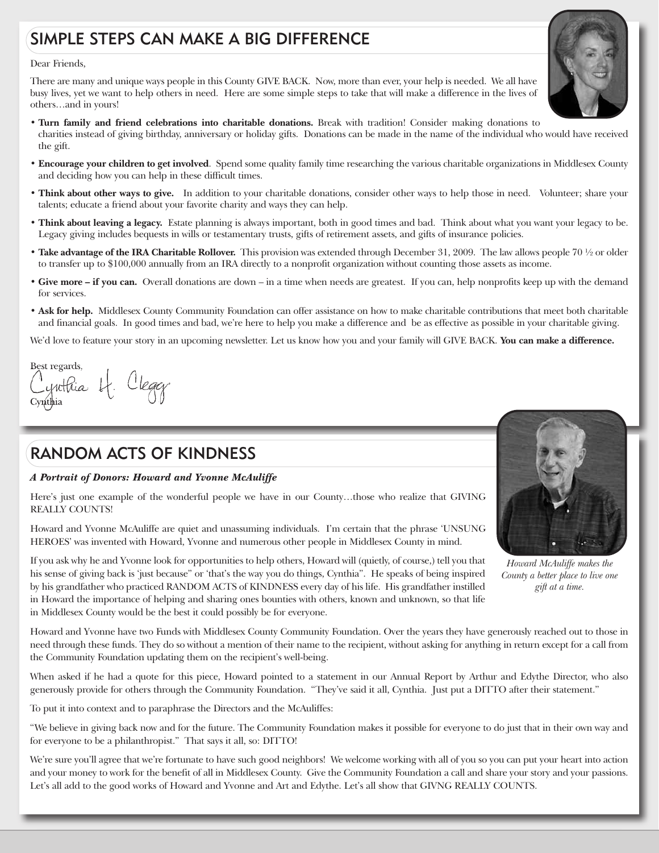## SIMPLE STEPS CAN MAKE A BIG DIFFERENCE

#### Dear Friends,

There are many and unique ways people in this County GIVE BACK. Now, more than ever, your help is needed. We all have busy lives, yet we want to help others in need. Here are some simple steps to take that will make a difference in the lives of others…and in yours!

- **• Turn family and friend celebrations into charitable donations.** Break with tradition! Consider making donations to charities instead of giving birthday, anniversary or holiday gifts. Donations can be made in the name of the individual who would have received the gift.
- **• Encourage your children to get involved**. Spend some quality family time researching the various charitable organizations in Middlesex County and deciding how you can help in these difficult times.
- **• Think about other ways to give.** In addition to your charitable donations, consider other ways to help those in need. Volunteer; share your talents; educate a friend about your favorite charity and ways they can help.
- **• Think about leaving a legacy.** Estate planning is always important, both in good times and bad. Think about what you want your legacy to be. Legacy giving includes bequests in wills or testamentary trusts, gifts of retirement assets, and gifts of insurance policies.
- **• Take advantage of the IRA Charitable Rollover.** This provision was extended through December 31, 2009. The law allows people 70 ½ or older to transfer up to \$100,000 annually from an IRA directly to a nonprofit organization without counting those assets as income.
- **• Give more – if you can.** Overall donations are down in a time when needs are greatest. If you can, help nonprofits keep up with the demand for services.
- **• Ask for help.** Middlesex County Community Foundation can offer assistance on how to make charitable contributions that meet both charitable and financial goals. In good times and bad, we're here to help you make a difference and be as effective as possible in your charitable giving.

We'd love to feature your story in an upcoming newsletter. Let us know how you and your family will GIVE BACK. **You can make a difference.**

Best regards, Cynthia 4. Cleggy

### RANDOM ACTS OF KINDNESS

#### *A Portrait of Donors: Howard and Yvonne McAuliffe*

Here's just one example of the wonderful people we have in our County…those who realize that GIVING REALLY COUNTS!

Howard and Yvonne McAuliffe are quiet and unassuming individuals. I'm certain that the phrase 'UNSUNG HEROES' was invented with Howard, Yvonne and numerous other people in Middlesex County in mind.



*Howard McAuliffe makes the County a better place to live one gift at a time.*

If you ask why he and Yvonne look for opportunities to help others, Howard will (quietly, of course,) tell you that his sense of giving back is 'just because" or 'that's the way you do things, Cynthia". He speaks of being inspired by his grandfather who practiced RANDOM ACTS of KINDNESS every day of his life. His grandfather instilled in Howard the importance of helping and sharing ones bounties with others, known and unknown, so that life in Middlesex County would be the best it could possibly be for everyone.

Howard and Yvonne have two Funds with Middlesex County Community Foundation. Over the years they have generously reached out to those in need through these funds. They do so without a mention of their name to the recipient, without asking for anything in return except for a call from the Community Foundation updating them on the recipient's well-being.

When asked if he had a quote for this piece, Howard pointed to a statement in our Annual Report by Arthur and Edythe Director, who also generously provide for others through the Community Foundation. "They've said it all, Cynthia. Just put a DITTO after their statement."

To put it into context and to paraphrase the Directors and the McAuliffes:

"We believe in giving back now and for the future. The Community Foundation makes it possible for everyone to do just that in their own way and for everyone to be a philanthropist." That says it all, so: DITTO!

We're sure you'll agree that we're fortunate to have such good neighbors! We welcome working with all of you so you can put your heart into action and your money to work for the benefit of all in Middlesex County. Give the Community Foundation a call and share your story and your passions. Let's all add to the good works of Howard and Yvonne and Art and Edythe. Let's all show that GIVNG REALLY COUNTS.

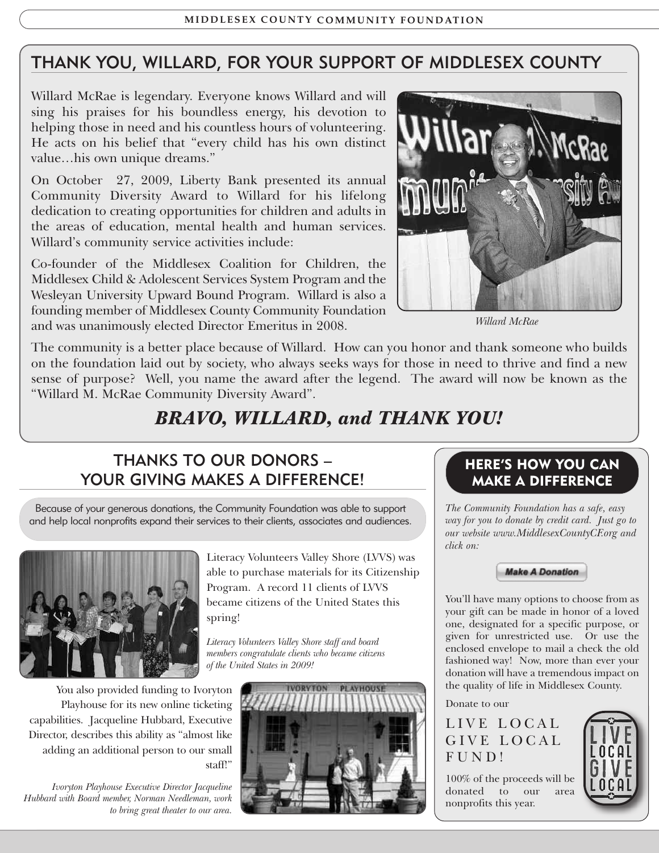## THANK YOU, WILLARD, FOR YOUR SUPPORT OF MIDDLESEX COUNTY

Willard McRae is legendary. Everyone knows Willard and will sing his praises for his boundless energy, his devotion to helping those in need and his countless hours of volunteering. He acts on his belief that "every child has his own distinct value…his own unique dreams."

On October 27, 2009, Liberty Bank presented its annual Community Diversity Award to Willard for his lifelong dedication to creating opportunities for children and adults in the areas of education, mental health and human services. Willard's community service activities include:

Co-founder of the Middlesex Coalition for Children, the Middlesex Child & Adolescent Services System Program and the Wesleyan University Upward Bound Program. Willard is also a founding member of Middlesex County Community Foundation and was unanimously elected Director Emeritus in 2008.



*Willard McRae*

The community is a better place because of Willard. How can you honor and thank someone who builds on the foundation laid out by society, who always seeks ways for those in need to thrive and find a new sense of purpose? Well, you name the award after the legend. The award will now be known as the "Willard M. McRae Community Diversity Award".

# *BRAVO, WILLARD, and THANK YOU!*

### THANKS TO OUR DONORS – YOUR GIVING MAKES A DIFFERENCE!

Because of your generous donations, the Community Foundation was able to support and help local nonprofits expand their services to their clients, associates and audiences.



You also provided funding to Ivoryton Playhouse for its new online ticketing capabilities. Jacqueline Hubbard, Executive Director, describes this ability as "almost like adding an additional person to our small staff!"

*Ivoryton Playhouse Executive Director Jacqueline Hubbard with Board member, Norman Needleman, work to bring great theater to our area.*

Literacy Volunteers Valley Shore (LVVS) was able to purchase materials for its Citizenship Program. A record 11 clients of LVVS became citizens of the United States this spring!

*Literacy Volunteers Valley Shore staff and board members congratulate clients who became citizens of the United States in 2009!*



### **HERE'S HOW YOU CAN MAKE A DIFFERENCE**

*The Community Foundation has a safe, easy way for you to donate by credit card. Just go to our website www.MiddlesexCountyCF.org and click on:*



You'll have many options to choose from as your gift can be made in honor of a loved one, designated for a specific purpose, or given for unrestricted use. Or use the enclosed envelope to mail a check the old fashioned way! Now, more than ever your donation will have a tremendous impact on the quality of life in Middlesex County.

Donate to our

LIVE LOCAL GIVE LOCAL FUND!

100% of the proceeds will be donated to our area nonprofits this year.

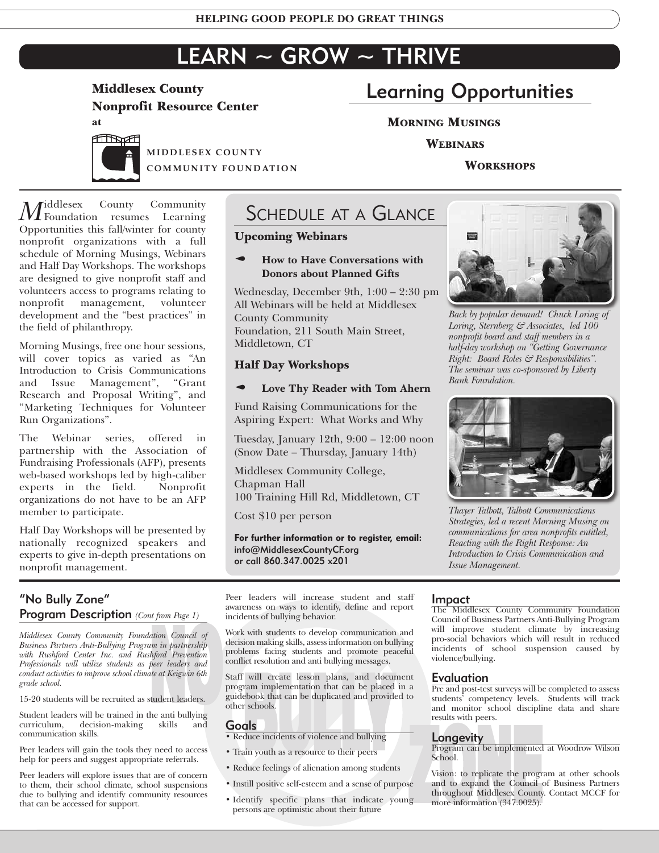# $LEARN \sim GROW \sim THRIVE$

## **Middlesex County Nonprofit Resource Center**

**at**



**MI D D LESEX C O U N TY C OMMU N ITY F O U N D ATI O N**

#### *M*iddlesex County Community<br>
Foundation resumes Learning Opportunities this fall/winter for county nonprofit organizations with a full schedule of Morning Musings, Webinars and Half Day Workshops. The workshops are designed to give nonprofit staff and volunteers access to programs relating to nonprofit management, volunteer development and the "best practices" in the field of philanthropy.

Morning Musings, free one hour sessions, will cover topics as varied as "An Introduction to Crisis Communications and Issue Management", "Grant Research and Proposal Writing", and "Marketing Techniques for Volunteer Run Organizations".

The Webinar series, offered in partnership with the Association of Fundraising Professionals (AFP), presents web-based workshops led by high-caliber experts in the field. Nonprofit organizations do not have to be an AFP member to participate.

Half Day Workshops will be presented by nationally recognized speakers and experts to give in-depth presentations on nonprofit management.

# SCHEDULE AT A GLANCE

### **Upcoming Webinars**

#### p **How to Have Conversations with Donors about Planned Gifts**

Wednesday, December 9th, 1:00 – 2:30 pm All Webinars will be held at Middlesex County Community Foundation, 211 South Main Street, Middletown, CT

#### **Half Day Workshops**

#### p **Love Thy Reader with Tom Ahern**

Fund Raising Communications for the Aspiring Expert: What Works and Why

Tuesday, January 12th, 9:00 – 12:00 noon (Snow Date – Thursday, January 14th)

Middlesex Community College, Chapman Hall 100 Training Hill Rd, Middletown, CT

Cost \$10 per person

**For further information or to register, email:** info@MiddlesexCountyCF.org or call 860.347.0025 x201



*Middlesex County Community Foundation Council of Business Partners Anti-Bullying Program in partnership with Rushford Center Inc. and Rushford Prevention Professionals will utilize students as peer leaders and conduct activities to improve school climate at Keigwin 6th grade school.*

15-20 students will be recruited as student leaders.

Student leaders will be trained in the anti bullying decision-making skills and communication skills.

Peer leaders will gain the tools they need to access help for peers and suggest appropriate referrals.

Peer leaders will explore issues that are of concern to them, their school climate, school suspensions due to bullying and identify community resources that can be accessed for support.

Peer leaders will increase student and staff awareness on ways to identify, define and report incidents of bullying behavior.

Work with students to develop communication and decision making skills, assessinformation on bullying problems facing students and promote peaceful conflict resolution and anti bullying messages.

Examplementation that can be placed<br>tudent leaders.<br>tudent leaders.<br>tusting skills and **Goals**<br>**BULLY COALS**<br>**BULLY COALS**<br>**BULLY COALS**<br>**BULLY COALS**<br>**BULLY COALS**<br>**BULLY COALS**<br>**BULLY COALS**<br>**BULLY COALS** Staff will create lesson plans, and document program implementation that can be placed in a guidebook that can be duplicated and provided to other schools.

#### Goals

• Reduce incidents of violence and bullying

- Train youth as a resource to their peers
- Reduce feelings of alienation among students
- Instill positive self-esteem and a sense of purpose
- Identify specific plans that indicate young persons are optimistic about their future

# Learning Opportunities

#### **MORNING MUSINGS**

**WEBINARS**

#### **WORKSHOPS**



*Back by popular demand! Chuck Loring of Loring, Sternberg & Associates, led 100 nonprofit board and staff members in a half-day workshop on "Getting Governance Right: Board Roles & Responsibilities". The seminar was co-sponsored by Liberty Bank Foundation.*



*Thayer Talbott, Talbott Communications Strategies, led a recent Morning Musing on communications for area nonprofits entitled, Reacting with the Right Response: An Introduction to Crisis Communication and Issue Management.*

#### Impact

The Middlesex County Community Foundation Council of Business Partners Anti-Bullying Program will improve student climate by increasing pro-social behaviors which will result in reduced incidents of school suspension caused by violence/bullying.

#### Evaluation

Pre and post-test surveys will be completed to assess students' competency levels. Students will track and monitor school discipline data and share results with peers.

#### **Longevity**

Program can be implemented at Woodrow Wilson School.

Vision: to repircate the program at other schools<br>
and to expand the Council of Business Partners<br>
throughout Middlesex County. Contact MCCF for<br>
g more information (347.0025). Vision: to replicate the program at other schools throughout Middlesex County. Contact MCCF for more information (347.0025).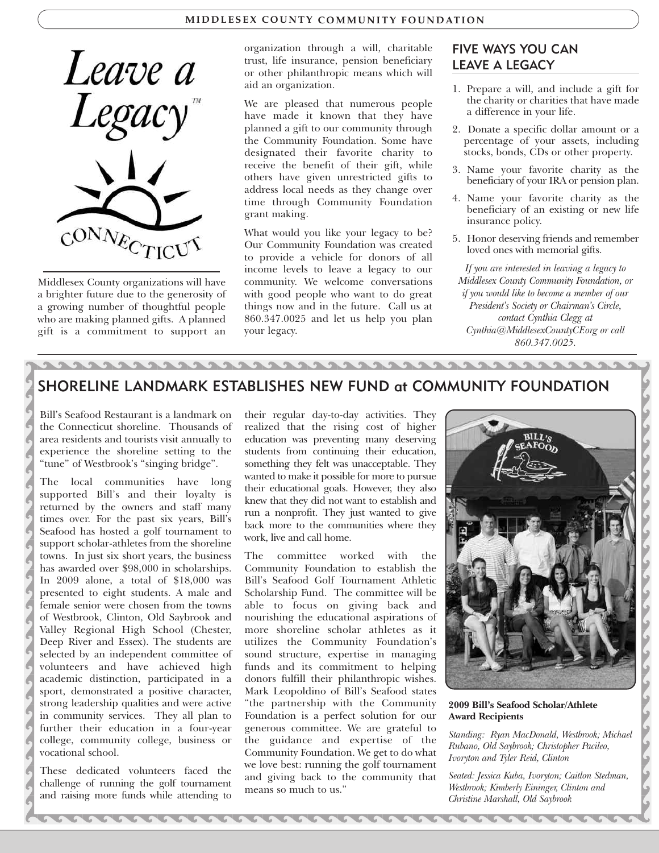#### **MI D D LESEX C O U N TY C OMMU N ITY F O U N D ATI O N**



Middlesex County organizations will have a brighter future due to the generosity of a growing number of thoughtful people who are making planned gifts. A planned gift is a commitment to support an

 $2222$ 

organization through a will, charitable trust, life insurance, pension beneficiary or other philanthropic means which will aid an organization.

We are pleased that numerous people have made it known that they have planned a gift to our community through the Community Foundation. Some have designated their favorite charity to receive the benefit of their gift, while others have given unrestricted gifts to address local needs as they change over time through Community Foundation grant making.

What would you like your legacy to be? Our Community Foundation was created to provide a vehicle for donors of all income levels to leave a legacy to our community. We welcome conversations with good people who want to do great things now and in the future. Call us at 860.347.0025 and let us help you plan your legacy.

222222222222

#### FIVE WAYS YOU CAN LEAVE A LEGACY

- 1. Prepare a will, and include a gift for the charity or charities that have made a difference in your life.
- 2. Donate a specific dollar amount or a percentage of your assets, including stocks, bonds, CDs or other property.
- 3. Name your favorite charity as the beneficiary of your IRA or pension plan.
- 4. Name your favorite charity as the beneficiary of an existing or new life insurance policy.
- 5. Honor deserving friends and remember loved ones with memorial gifts.

*If you are interested in leaving a legacy to Middlesex County Community Foundation, or if you would like to become a member of our President's Society or Chairman's Circle, contact Cynthia Clegg at Cynthia@MiddlesexCountyCF.org or call 860.347.0025.*

### SHORELINE LANDMARK ESTABLISHES NEW FUND at COMMUNITY FOUNDATION

Bill's Seafood Restaurant is a landmark on the Connecticut shoreline. Thousands of area residents and tourists visit annually to experience the shoreline setting to the "tune" of Westbrook's "singing bridge".

The local communities have long supported Bill's and their loyalty is returned by the owners and staff many times over. For the past six years, Bill's Seafood has hosted a golf tournament to support scholar-athletes from the shoreline towns. In just six short years, the business has awarded over \$98,000 in scholarships. In 2009 alone, a total of \$18,000 was presented to eight students. A male and female senior were chosen from the towns of Westbrook, Clinton, Old Saybrook and Valley Regional High School (Chester, Deep River and Essex). The students are selected by an independent committee of volunteers and have achieved high academic distinction, participated in a sport, demonstrated a positive character, strong leadership qualities and were active in community services. They all plan to further their education in a four-year college, community college, business or vocational school.

These dedicated volunteers faced the challenge of running the golf tournament and raising more funds while attending to

ARRAI

their regular day-to-day activities. They realized that the rising cost of higher education was preventing many deserving students from continuing their education, something they felt was unacceptable. They wanted to make it possible for more to pursue their educational goals. However, they also knew that they did not want to establish and run a nonprofit. They just wanted to give back more to the communities where they work, live and call home.

The committee worked with the Community Foundation to establish the Bill's Seafood Golf Tournament Athletic Scholarship Fund. The committee will be able to focus on giving back and nourishing the educational aspirations of more shoreline scholar athletes as it utilizes the Community Foundation's sound structure, expertise in managing funds and its commitment to helping donors fulfill their philanthropic wishes. Mark Leopoldino of Bill's Seafood states "the partnership with the Community Foundation is a perfect solution for our generous committee. We are grateful to the guidance and expertise of the Community Foundation. We get to do what we love best: running the golf tournament and giving back to the community that means so much to us."



**2009 Bill's Seafood Scholar/Athlete Award Recipients**

*Standing: Ryan MacDonald, Westbrook; Michael Rubano, Old Saybrook; Christopher Pacileo, Ivoryton and Tyler Reid, Clinton*

*Seated: Jessica Kuba, Ivoryton; Caitlon Stedman, Westbrook; Kimberly Eininger, Clinton and Christine Marshall, Old Saybrook*